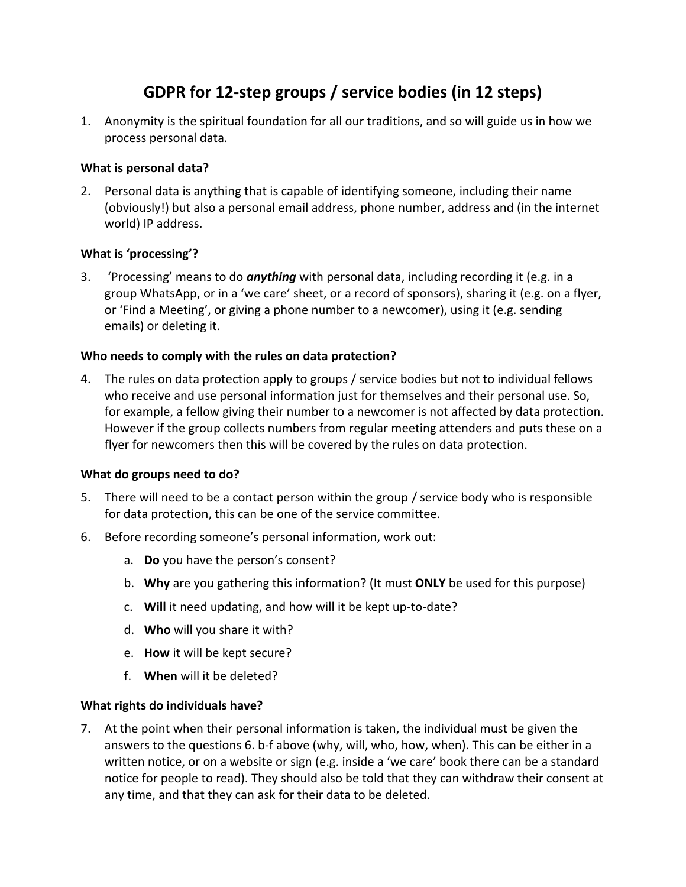# **GDPR for 12-step groups / service bodies (in 12 steps)**

1. Anonymity is the spiritual foundation for all our traditions, and so will guide us in how we process personal data.

## **What is personal data?**

2. Personal data is anything that is capable of identifying someone, including their name (obviously!) but also a personal email address, phone number, address and (in the internet world) IP address.

## **What is 'processing'?**

3. 'Processing' means to do *anything* with personal data, including recording it (e.g. in a group WhatsApp, or in a 'we care' sheet, or a record of sponsors), sharing it (e.g. on a flyer, or 'Find a Meeting', or giving a phone number to a newcomer), using it (e.g. sending emails) or deleting it.

## **Who needs to comply with the rules on data protection?**

4. The rules on data protection apply to groups / service bodies but not to individual fellows who receive and use personal information just for themselves and their personal use. So, for example, a fellow giving their number to a newcomer is not affected by data protection. However if the group collects numbers from regular meeting attenders and puts these on a flyer for newcomers then this will be covered by the rules on data protection.

#### **What do groups need to do?**

- 5. There will need to be a contact person within the group / service body who is responsible for data protection, this can be one of the service committee.
- 6. Before recording someone's personal information, work out:
	- a. **Do** you have the person's consent?
	- b. **Why** are you gathering this information? (It must **ONLY** be used for this purpose)
	- c. **Will** it need updating, and how will it be kept up-to-date?
	- d. **Who** will you share it with?
	- e. **How** it will be kept secure?
	- f. **When** will it be deleted?

#### **What rights do individuals have?**

7. At the point when their personal information is taken, the individual must be given the answers to the questions 6. b-f above (why, will, who, how, when). This can be either in a written notice, or on a website or sign (e.g. inside a 'we care' book there can be a standard notice for people to read). They should also be told that they can withdraw their consent at any time, and that they can ask for their data to be deleted.